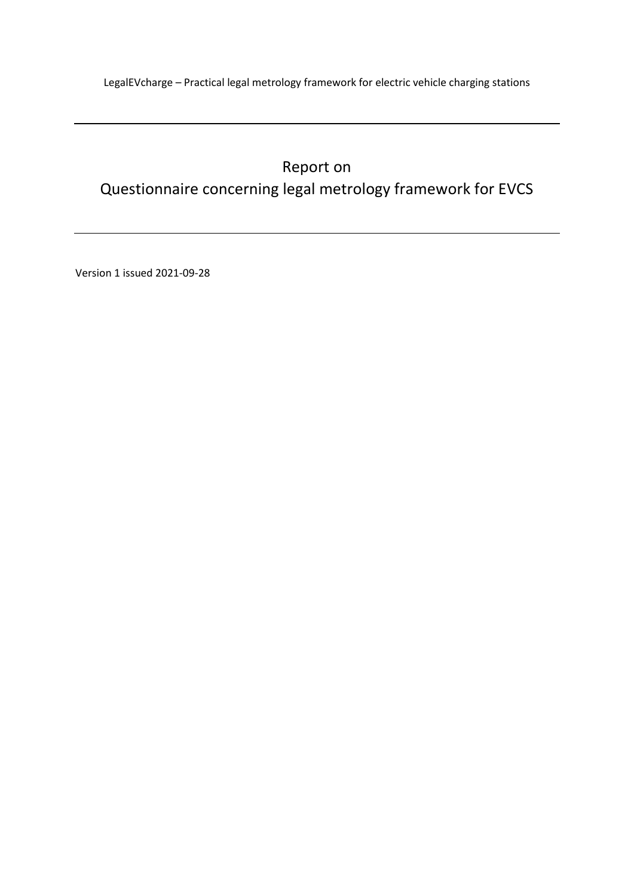# Report on Questionnaire concerning legal metrology framework for EVCS

Version 1 issued 2021-09-28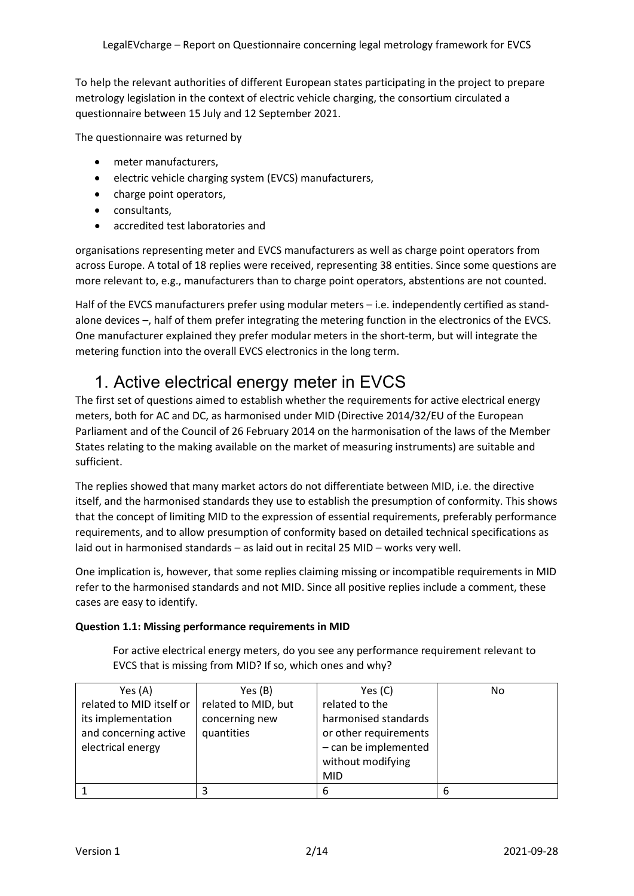To help the relevant authorities of different European states participating in the project to prepare metrology legislation in the context of electric vehicle charging, the consortium circulated a questionnaire between 15 July and 12 September 2021.

The questionnaire was returned by

- meter manufacturers,
- electric vehicle charging system (EVCS) manufacturers,
- charge point operators,
- consultants,
- accredited test laboratories and

organisations representing meter and EVCS manufacturers as well as charge point operators from across Europe. A total of 18 replies were received, representing 38 entities. Since some questions are more relevant to, e.g., manufacturers than to charge point operators, abstentions are not counted.

Half of the EVCS manufacturers prefer using modular meters - i.e. independently certified as standalone devices –, half of them prefer integrating the metering function in the electronics of the EVCS. One manufacturer explained they prefer modular meters in the short-term, but will integrate the metering function into the overall EVCS electronics in the long term.

# 1. Active electrical energy meter in EVCS

The first set of questions aimed to establish whether the requirements for active electrical energy meters, both for AC and DC, as harmonised under MID (Directive 2014/32/EU of the European Parliament and of the Council of 26 February 2014 on the harmonisation of the laws of the Member States relating to the making available on the market of measuring instruments) are suitable and sufficient.

The replies showed that many market actors do not differentiate between MID, i.e. the directive itself, and the harmonised standards they use to establish the presumption of conformity. This shows that the concept of limiting MID to the expression of essential requirements, preferably performance requirements, and to allow presumption of conformity based on detailed technical specifications as laid out in harmonised standards – as laid out in recital 25 MID – works very well.

One implication is, however, that some replies claiming missing or incompatible requirements in MID refer to the harmonised standards and not MID. Since all positive replies include a comment, these cases are easy to identify.

#### **Question 1.1: Missing performance requirements in MID**

For active electrical energy meters, do you see any performance requirement relevant to EVCS that is missing from MID? If so, which ones and why?

| Yes (A)                  | Yes (B)             | Yes $(C)$             | No |
|--------------------------|---------------------|-----------------------|----|
| related to MID itself or | related to MID, but | related to the        |    |
| its implementation       | concerning new      | harmonised standards  |    |
| and concerning active    | quantities          | or other requirements |    |
| electrical energy        |                     | - can be implemented  |    |
|                          |                     | without modifying     |    |
|                          |                     | MID                   |    |
|                          |                     | 6                     | 6  |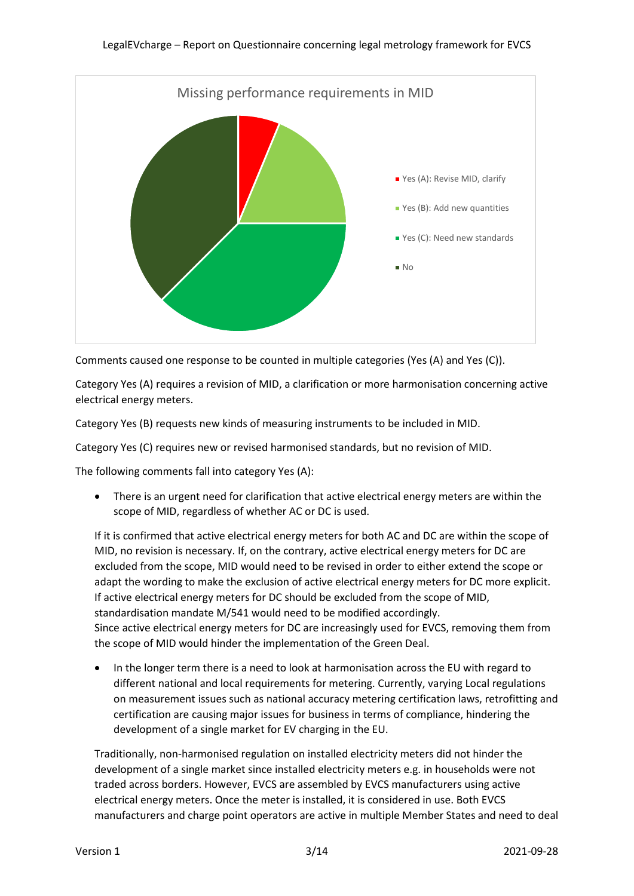

Comments caused one response to be counted in multiple categories (Yes (A) and Yes (C)).

Category Yes (A) requires a revision of MID, a clarification or more harmonisation concerning active electrical energy meters.

Category Yes (B) requests new kinds of measuring instruments to be included in MID.

Category Yes (C) requires new or revised harmonised standards, but no revision of MID.

The following comments fall into category Yes (A):

• There is an urgent need for clarification that active electrical energy meters are within the scope of MID, regardless of whether AC or DC is used.

If it is confirmed that active electrical energy meters for both AC and DC are within the scope of MID, no revision is necessary. If, on the contrary, active electrical energy meters for DC are excluded from the scope, MID would need to be revised in order to either extend the scope or adapt the wording to make the exclusion of active electrical energy meters for DC more explicit. If active electrical energy meters for DC should be excluded from the scope of MID, standardisation mandate M/541 would need to be modified accordingly. Since active electrical energy meters for DC are increasingly used for EVCS, removing them from the scope of MID would hinder the implementation of the Green Deal.

• In the longer term there is a need to look at harmonisation across the EU with regard to different national and local requirements for metering. Currently, varying Local regulations on measurement issues such as national accuracy metering certification laws, retrofitting and certification are causing major issues for business in terms of compliance, hindering the development of a single market for EV charging in the EU.

Traditionally, non-harmonised regulation on installed electricity meters did not hinder the development of a single market since installed electricity meters e.g. in households were not traded across borders. However, EVCS are assembled by EVCS manufacturers using active electrical energy meters. Once the meter is installed, it is considered in use. Both EVCS manufacturers and charge point operators are active in multiple Member States and need to deal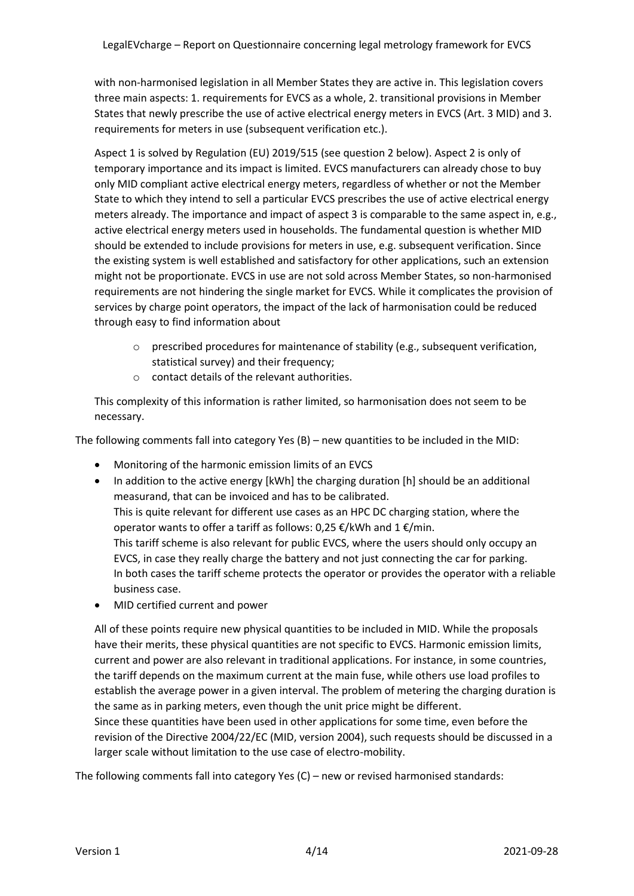with non-harmonised legislation in all Member States they are active in. This legislation covers three main aspects: 1. requirements for EVCS as a whole, 2. transitional provisions in Member States that newly prescribe the use of active electrical energy meters in EVCS (Art. 3 MID) and 3. requirements for meters in use (subsequent verification etc.).

Aspect 1 is solved by Regulation (EU) 2019/515 (see question 2 below). Aspect 2 is only of temporary importance and its impact is limited. EVCS manufacturers can already chose to buy only MID compliant active electrical energy meters, regardless of whether or not the Member State to which they intend to sell a particular EVCS prescribes the use of active electrical energy meters already. The importance and impact of aspect 3 is comparable to the same aspect in, e.g., active electrical energy meters used in households. The fundamental question is whether MID should be extended to include provisions for meters in use, e.g. subsequent verification. Since the existing system is well established and satisfactory for other applications, such an extension might not be proportionate. EVCS in use are not sold across Member States, so non-harmonised requirements are not hindering the single market for EVCS. While it complicates the provision of services by charge point operators, the impact of the lack of harmonisation could be reduced through easy to find information about

- $\circ$  prescribed procedures for maintenance of stability (e.g., subsequent verification, statistical survey) and their frequency;
- $\circ$  contact details of the relevant authorities.

This complexity of this information is rather limited, so harmonisation does not seem to be necessary.

The following comments fall into category Yes (B) – new quantities to be included in the MID:

- Monitoring of the harmonic emission limits of an EVCS
- In addition to the active energy [kWh] the charging duration [h] should be an additional measurand, that can be invoiced and has to be calibrated. This is quite relevant for different use cases as an HPC DC charging station, where the operator wants to offer a tariff as follows: 0,25 €/kWh and 1 €/min. This tariff scheme is also relevant for public EVCS, where the users should only occupy an EVCS, in case they really charge the battery and not just connecting the car for parking. In both cases the tariff scheme protects the operator or provides the operator with a reliable business case.
- MID certified current and power

All of these points require new physical quantities to be included in MID. While the proposals have their merits, these physical quantities are not specific to EVCS. Harmonic emission limits, current and power are also relevant in traditional applications. For instance, in some countries, the tariff depends on the maximum current at the main fuse, while others use load profiles to establish the average power in a given interval. The problem of metering the charging duration is the same as in parking meters, even though the unit price might be different. Since these quantities have been used in other applications for some time, even before the revision of the Directive 2004/22/EC (MID, version 2004), such requests should be discussed in a larger scale without limitation to the use case of electro-mobility.

The following comments fall into category Yes (C) – new or revised harmonised standards: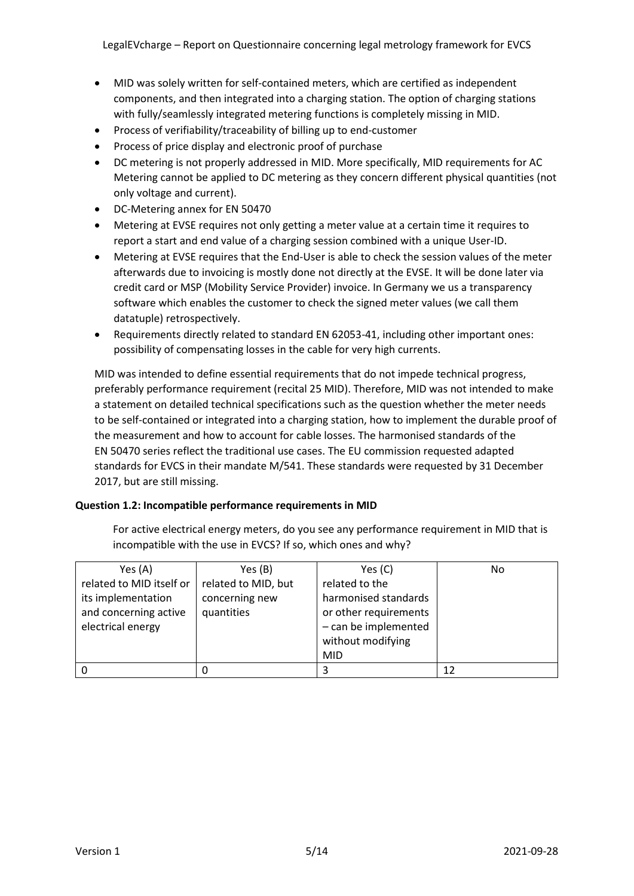LegalEVcharge – Report on Questionnaire concerning legal metrology framework for EVCS

- MID was solely written for self-contained meters, which are certified as independent components, and then integrated into a charging station. The option of charging stations with fully/seamlessly integrated metering functions is completely missing in MID.
- Process of verifiability/traceability of billing up to end-customer
- Process of price display and electronic proof of purchase
- DC metering is not properly addressed in MID. More specifically, MID requirements for AC Metering cannot be applied to DC metering as they concern different physical quantities (not only voltage and current).
- DC-Metering annex for EN 50470
- Metering at EVSE requires not only getting a meter value at a certain time it requires to report a start and end value of a charging session combined with a unique User-ID.
- Metering at EVSE requires that the End-User is able to check the session values of the meter afterwards due to invoicing is mostly done not directly at the EVSE. It will be done later via credit card or MSP (Mobility Service Provider) invoice. In Germany we us a transparency software which enables the customer to check the signed meter values (we call them datatuple) retrospectively.
- Requirements directly related to standard EN 62053-41, including other important ones: possibility of compensating losses in the cable for very high currents.

MID was intended to define essential requirements that do not impede technical progress, preferably performance requirement (recital 25 MID). Therefore, MID was not intended to make a statement on detailed technical specifications such as the question whether the meter needs to be self-contained or integrated into a charging station, how to implement the durable proof of the measurement and how to account for cable losses. The harmonised standards of the EN 50470 series reflect the traditional use cases. The EU commission requested adapted standards for EVCS in their mandate M/541. These standards were requested by 31 December 2017, but are still missing.

#### **Question 1.2: Incompatible performance requirements in MID**

For active electrical energy meters, do you see any performance requirement in MID that is incompatible with the use in EVCS? If so, which ones and why?

| Yes $(A)$                | Yes (B)             | Yes $(C)$             | No |
|--------------------------|---------------------|-----------------------|----|
| related to MID itself or | related to MID, but | related to the        |    |
| its implementation       | concerning new      | harmonised standards  |    |
| and concerning active    | quantities          | or other requirements |    |
| electrical energy        |                     | - can be implemented  |    |
|                          |                     | without modifying     |    |
|                          |                     | <b>MID</b>            |    |
|                          |                     | 3                     | 12 |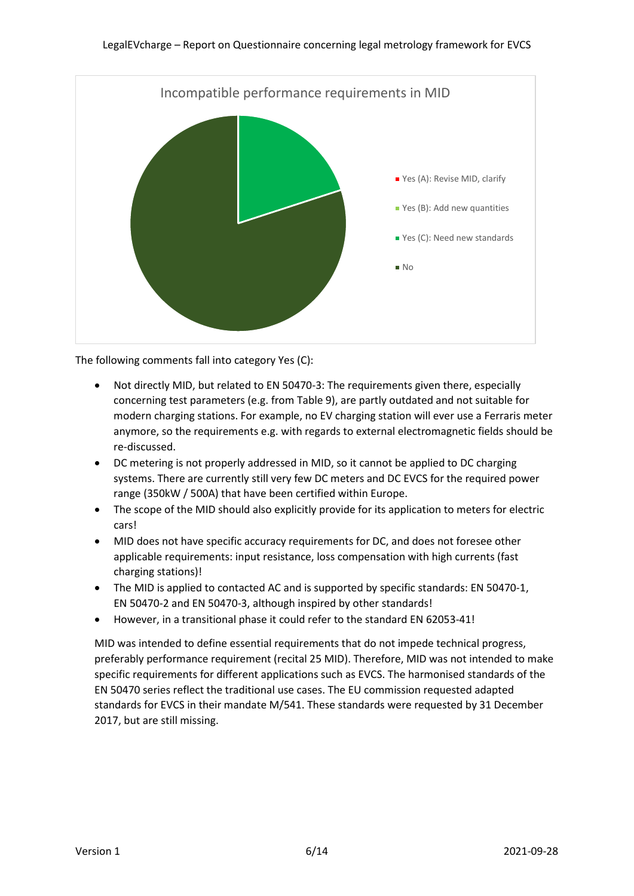

The following comments fall into category Yes (C):

- Not directly MID, but related to EN 50470-3: The requirements given there, especially concerning test parameters (e.g. from Table 9), are partly outdated and not suitable for modern charging stations. For example, no EV charging station will ever use a Ferraris meter anymore, so the requirements e.g. with regards to external electromagnetic fields should be re-discussed.
- DC metering is not properly addressed in MID, so it cannot be applied to DC charging systems. There are currently still very few DC meters and DC EVCS for the required power range (350kW / 500A) that have been certified within Europe.
- The scope of the MID should also explicitly provide for its application to meters for electric cars!
- MID does not have specific accuracy requirements for DC, and does not foresee other applicable requirements: input resistance, loss compensation with high currents (fast charging stations)!
- The MID is applied to contacted AC and is supported by specific standards: EN 50470-1, EN 50470-2 and EN 50470-3, although inspired by other standards!
- However, in a transitional phase it could refer to the standard EN 62053-41!

MID was intended to define essential requirements that do not impede technical progress, preferably performance requirement (recital 25 MID). Therefore, MID was not intended to make specific requirements for different applications such as EVCS. The harmonised standards of the EN 50470 series reflect the traditional use cases. The EU commission requested adapted standards for EVCS in their mandate M/541. These standards were requested by 31 December 2017, but are still missing.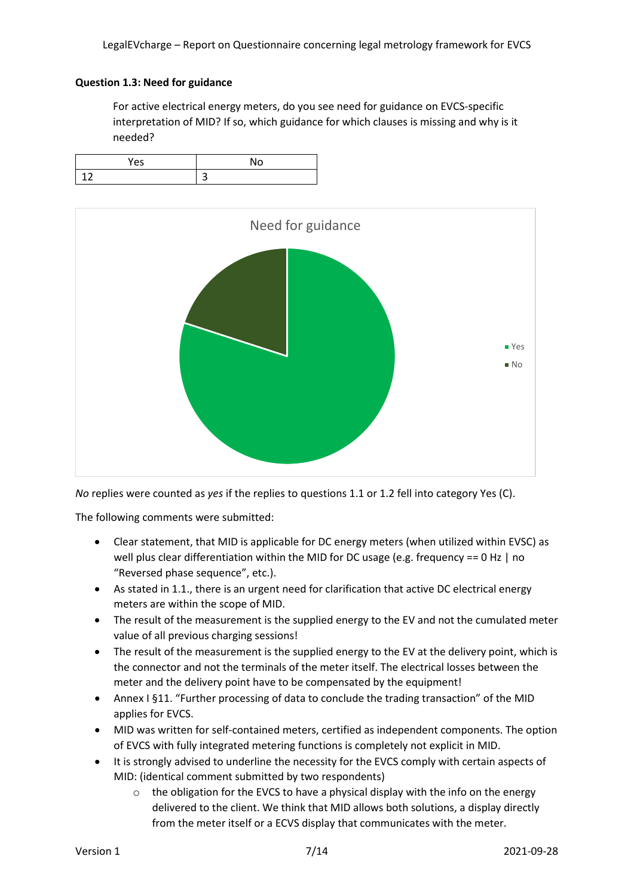### **Question 1.3: Need for guidance**

For active electrical energy meters, do you see need for guidance on EVCS-specific interpretation of MID? If so, which guidance for which clauses is missing and why is it needed?





*No* replies were counted as *yes* if the replies to questions 1.1 or 1.2 fell into category Yes (C).

The following comments were submitted:

- Clear statement, that MID is applicable for DC energy meters (when utilized within EVSC) as well plus clear differentiation within the MID for DC usage (e.g. frequency == 0 Hz | no "Reversed phase sequence", etc.).
- As stated in 1.1., there is an urgent need for clarification that active DC electrical energy meters are within the scope of MID.
- The result of the measurement is the supplied energy to the EV and not the cumulated meter value of all previous charging sessions!
- The result of the measurement is the supplied energy to the EV at the delivery point, which is the connector and not the terminals of the meter itself. The electrical losses between the meter and the delivery point have to be compensated by the equipment!
- Annex I §11. "Further processing of data to conclude the trading transaction" of the MID applies for EVCS.
- MID was written for self-contained meters, certified as independent components. The option of EVCS with fully integrated metering functions is completely not explicit in MID.
- It is strongly advised to underline the necessity for the EVCS comply with certain aspects of MID: (identical comment submitted by two respondents)
	- $\circ$  the obligation for the EVCS to have a physical display with the info on the energy delivered to the client. We think that MID allows both solutions, a display directly from the meter itself or a ECVS display that communicates with the meter.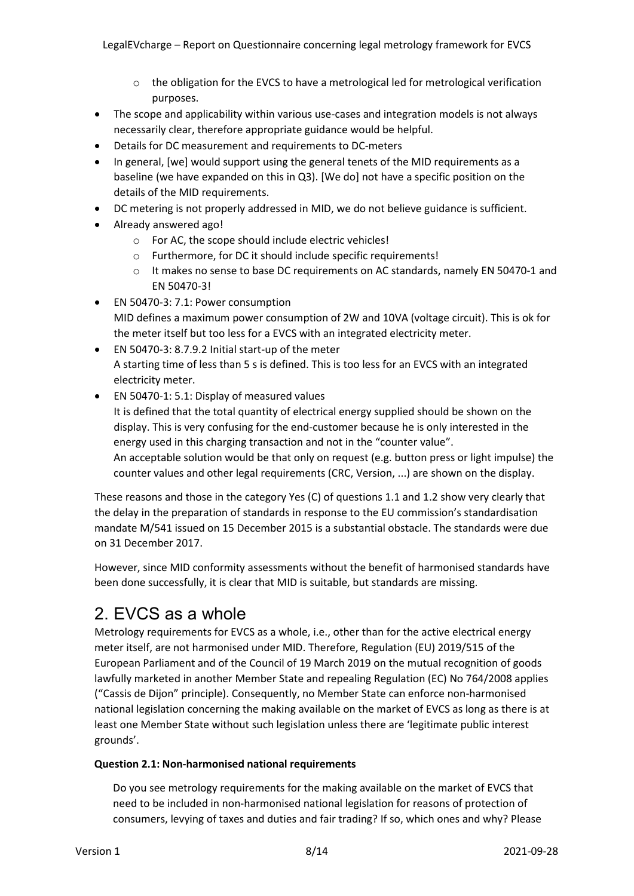- $\circ$  the obligation for the EVCS to have a metrological led for metrological verification purposes.
- The scope and applicability within various use-cases and integration models is not always necessarily clear, therefore appropriate guidance would be helpful.
- Details for DC measurement and requirements to DC-meters
- In general, [we] would support using the general tenets of the MID requirements as a baseline (we have expanded on this in Q3). [We do] not have a specific position on the details of the MID requirements.
- DC metering is not properly addressed in MID, we do not believe guidance is sufficient.
- Already answered ago!
	- o For AC, the scope should include electric vehicles!
	- o Furthermore, for DC it should include specific requirements!
	- o It makes no sense to base DC requirements on AC standards, namely EN 50470-1 and EN 50470-3!
- EN 50470-3: 7.1: Power consumption MID defines a maximum power consumption of 2W and 10VA (voltage circuit). This is ok for the meter itself but too less for a EVCS with an integrated electricity meter.
- EN 50470-3: 8.7.9.2 Initial start-up of the meter A starting time of less than 5 s is defined. This is too less for an EVCS with an integrated electricity meter.
- EN 50470-1: 5.1: Display of measured values It is defined that the total quantity of electrical energy supplied should be shown on the display. This is very confusing for the end-customer because he is only interested in the energy used in this charging transaction and not in the "counter value". An acceptable solution would be that only on request (e.g. button press or light impulse) the counter values and other legal requirements (CRC, Version, ...) are shown on the display.

These reasons and those in the category Yes (C) of questions 1.1 and 1.2 show very clearly that the delay in the preparation of standards in response to the EU commission's standardisation mandate M/541 issued on 15 December 2015 is a substantial obstacle. The standards were due on 31 December 2017.

However, since MID conformity assessments without the benefit of harmonised standards have been done successfully, it is clear that MID is suitable, but standards are missing.

# 2. EVCS as a whole

Metrology requirements for EVCS as a whole, i.e., other than for the active electrical energy meter itself, are not harmonised under MID. Therefore, Regulation (EU) 2019/515 of the European Parliament and of the Council of 19 March 2019 on the mutual recognition of goods lawfully marketed in another Member State and repealing Regulation (EC) No 764/2008 applies ("Cassis de Dijon" principle). Consequently, no Member State can enforce non-harmonised national legislation concerning the making available on the market of EVCS as long as there is at least one Member State without such legislation unless there are 'legitimate public interest grounds'.

#### **Question 2.1: Non-harmonised national requirements**

Do you see metrology requirements for the making available on the market of EVCS that need to be included in non-harmonised national legislation for reasons of protection of consumers, levying of taxes and duties and fair trading? If so, which ones and why? Please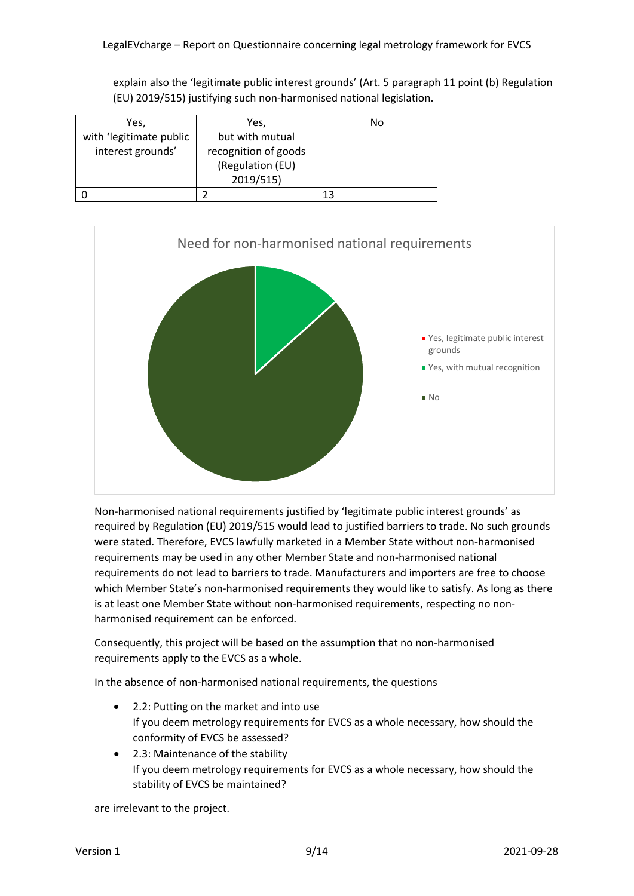explain also the 'legitimate public interest grounds' (Art. 5 paragraph 11 point (b) Regulation (EU) 2019/515) justifying such non-harmonised national legislation.

| Yes,                    | Yes,                 | No |
|-------------------------|----------------------|----|
| with 'legitimate public | but with mutual      |    |
| interest grounds'       | recognition of goods |    |
|                         | (Regulation (EU)     |    |
|                         | 2019/515)            |    |
|                         |                      | 13 |



Non-harmonised national requirements justified by 'legitimate public interest grounds' as required by Regulation (EU) 2019/515 would lead to justified barriers to trade. No such grounds were stated. Therefore, EVCS lawfully marketed in a Member State without non-harmonised requirements may be used in any other Member State and non-harmonised national requirements do not lead to barriers to trade. Manufacturers and importers are free to choose which Member State's non-harmonised requirements they would like to satisfy. As long as there is at least one Member State without non-harmonised requirements, respecting no nonharmonised requirement can be enforced.

Consequently, this project will be based on the assumption that no non-harmonised requirements apply to the EVCS as a whole.

In the absence of non-harmonised national requirements, the questions

- 2.2: Putting on the market and into use If you deem metrology requirements for EVCS as a whole necessary, how should the conformity of EVCS be assessed?
- 2.3: Maintenance of the stability If you deem metrology requirements for EVCS as a whole necessary, how should the stability of EVCS be maintained?

are irrelevant to the project.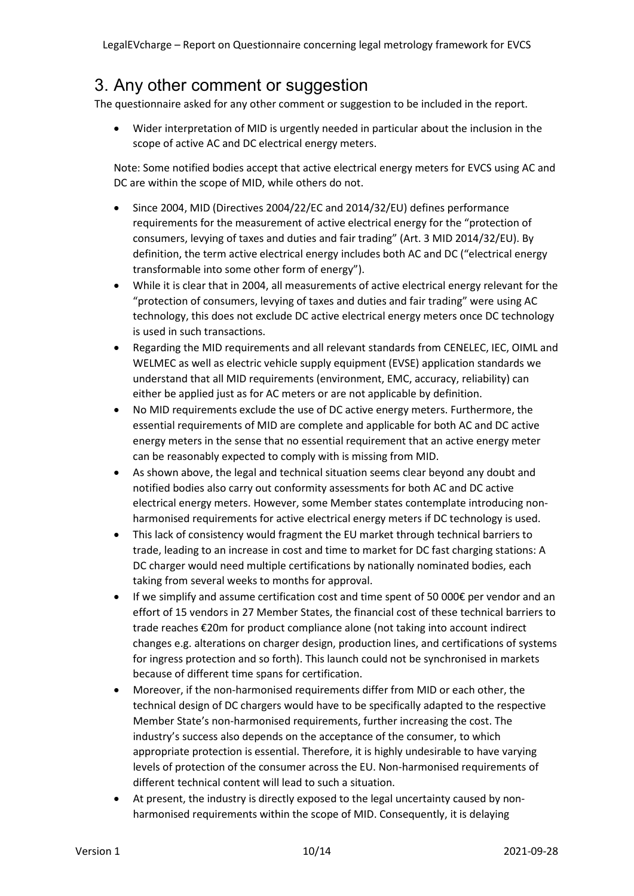### 3. Any other comment or suggestion

The questionnaire asked for any other comment or suggestion to be included in the report.

• Wider interpretation of MID is urgently needed in particular about the inclusion in the scope of active AC and DC electrical energy meters.

Note: Some notified bodies accept that active electrical energy meters for EVCS using AC and DC are within the scope of MID, while others do not.

- Since 2004, MID (Directives 2004/22/EC and 2014/32/EU) defines performance requirements for the measurement of active electrical energy for the "protection of consumers, levying of taxes and duties and fair trading" (Art. 3 MID 2014/32/EU). By definition, the term active electrical energy includes both AC and DC ("electrical energy transformable into some other form of energy").
- While it is clear that in 2004, all measurements of active electrical energy relevant for the "protection of consumers, levying of taxes and duties and fair trading" were using AC technology, this does not exclude DC active electrical energy meters once DC technology is used in such transactions.
- Regarding the MID requirements and all relevant standards from CENELEC, IEC, OIML and WELMEC as well as electric vehicle supply equipment (EVSE) application standards we understand that all MID requirements (environment, EMC, accuracy, reliability) can either be applied just as for AC meters or are not applicable by definition.
- No MID requirements exclude the use of DC active energy meters. Furthermore, the essential requirements of MID are complete and applicable for both AC and DC active energy meters in the sense that no essential requirement that an active energy meter can be reasonably expected to comply with is missing from MID.
- As shown above, the legal and technical situation seems clear beyond any doubt and notified bodies also carry out conformity assessments for both AC and DC active electrical energy meters. However, some Member states contemplate introducing nonharmonised requirements for active electrical energy meters if DC technology is used.
- This lack of consistency would fragment the EU market through technical barriers to trade, leading to an increase in cost and time to market for DC fast charging stations: A DC charger would need multiple certifications by nationally nominated bodies, each taking from several weeks to months for approval.
- If we simplify and assume certification cost and time spent of 50 000€ per vendor and an effort of 15 vendors in 27 Member States, the financial cost of these technical barriers to trade reaches €20m for product compliance alone (not taking into account indirect changes e.g. alterations on charger design, production lines, and certifications of systems for ingress protection and so forth). This launch could not be synchronised in markets because of different time spans for certification.
- Moreover, if the non-harmonised requirements differ from MID or each other, the technical design of DC chargers would have to be specifically adapted to the respective Member State's non-harmonised requirements, further increasing the cost. The industry's success also depends on the acceptance of the consumer, to which appropriate protection is essential. Therefore, it is highly undesirable to have varying levels of protection of the consumer across the EU. Non-harmonised requirements of different technical content will lead to such a situation.
- At present, the industry is directly exposed to the legal uncertainty caused by nonharmonised requirements within the scope of MID. Consequently, it is delaying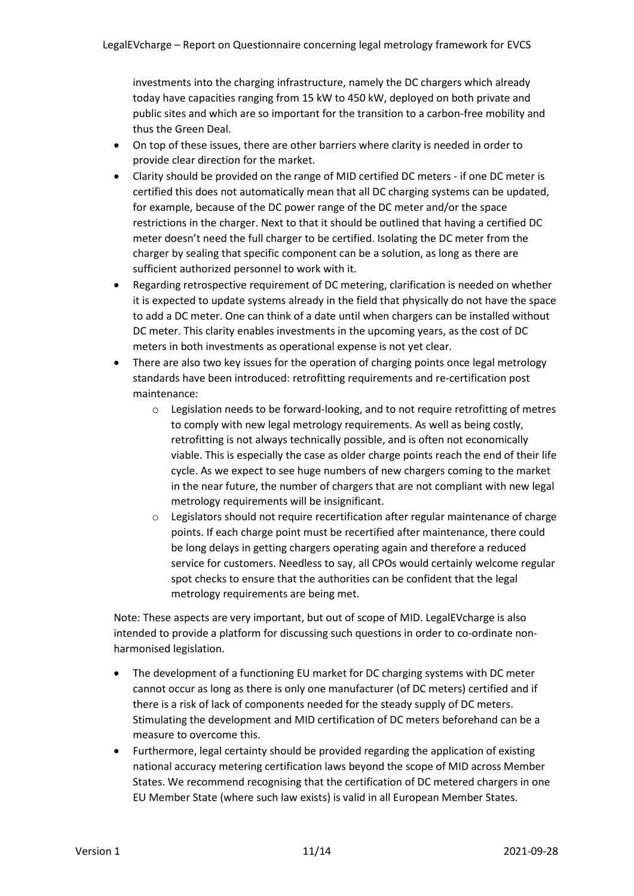investments into the charging infrastructure, namely the DC chargers which already today have capacities ranging from 15 kW to 450 kW, deployed on both private and public sites and which are so important for the transition to a carbon-free mobility and thus the Green Deal.

- On top of these issues, there are other barriers where clarity is needed in order to provide clear direction for the market.
- Clarity should be provided on the range of MID certified DC meters if one DC meter is certified this does not automatically mean that all DC charging systems can be updated, for example, because of the DC power range of the DC meter and/or the space restrictions in the charger. Next to that it should be outlined that having a certified DC meter doesn't need the full charger to be certified. Isolating the DC meter from the charger by sealing that specific component can be a solution, as long as there are sufficient authorized personnel to work with it.
- Regarding retrospective requirement of DC metering, clarification is needed on whether it is expected to update systems already in the field that physically do not have the space to add a DC meter. One can think of a date until when chargers can be installed without DC meter. This clarity enables investments in the upcoming years, as the cost of DC meters in both investments as operational expense is not yet clear.
- There are also two key issues for the operation of charging points once legal metrology standards have been introduced: retrofitting requirements and re-certification post maintenance:
	- $\circ$  Legislation needs to be forward-looking, and to not require retrofitting of metres to comply with new legal metrology requirements. As well as being costly, retrofitting is not always technically possible, and is often not economically viable. This is especially the case as older charge points reach the end of their life cycle. As we expect to see huge numbers of new chargers coming to the market in the near future, the number of chargers that are not compliant with new legal metrology requirements will be insignificant.
	- o Legislators should not require recertification after regular maintenance of charge points. If each charge point must be recertified after maintenance, there could be long delays in getting chargers operating again and therefore a reduced service for customers. Needless to say, all CPOs would certainly welcome regular spot checks to ensure that the authorities can be confident that the legal metrology requirements are being met.

Note: These aspects are very important, but out of scope of MID. LegalEVcharge is also intended to provide a platform for discussing such questions in order to co-ordinate nonharmonised legislation.

- The development of a functioning EU market for DC charging systems with DC meter cannot occur as long as there is only one manufacturer (of DC meters) certified and if there is a risk of lack of components needed for the steady supply of DC meters. Stimulating the development and MID certification of DC meters beforehand can be a measure to overcome this.
- Furthermore, legal certainty should be provided regarding the application of existing national accuracy metering certification laws beyond the scope of MID across Member States. We recommend recognising that the certification of DC metered chargers in one EU Member State (where such law exists) is valid in all European Member States.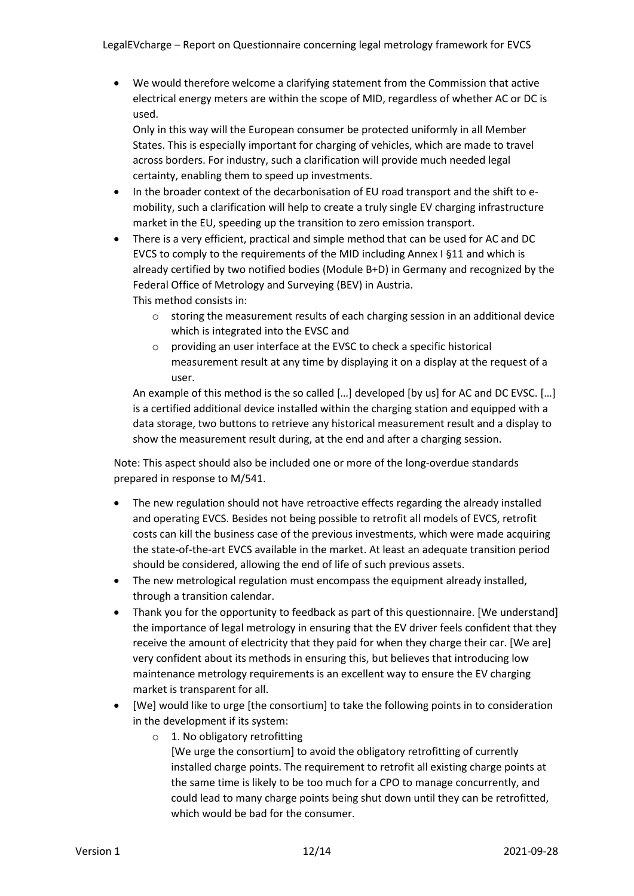• We would therefore welcome a clarifying statement from the Commission that active electrical energy meters are within the scope of MID, regardless of whether AC or DC is used.

Only in this way will the European consumer be protected uniformly in all Member States. This is especially important for charging of vehicles, which are made to travel across borders. For industry, such a clarification will provide much needed legal certainty, enabling them to speed up investments.

- In the broader context of the decarbonisation of EU road transport and the shift to emobility, such a clarification will help to create a truly single EV charging infrastructure market in the EU, speeding up the transition to zero emission transport.
- There is a very efficient, practical and simple method that can be used for AC and DC EVCS to comply to the requirements of the MID including Annex I §11 and which is already certified by two notified bodies (Module B+D) in Germany and recognized by the Federal Office of Metrology and Surveying (BEV) in Austria. This method consists in:
	- $\circ$  storing the measurement results of each charging session in an additional device which is integrated into the EVSC and
	- o providing an user interface at the EVSC to check a specific historical measurement result at any time by displaying it on a display at the request of a user.

An example of this method is the so called […] developed [by us] for AC and DC EVSC. […] is a certified additional device installed within the charging station and equipped with a data storage, two buttons to retrieve any historical measurement result and a display to show the measurement result during, at the end and after a charging session.

Note: This aspect should also be included one or more of the long-overdue standards prepared in response to M/541.

- The new regulation should not have retroactive effects regarding the already installed and operating EVCS. Besides not being possible to retrofit all models of EVCS, retrofit costs can kill the business case of the previous investments, which were made acquiring the state-of-the-art EVCS available in the market. At least an adequate transition period should be considered, allowing the end of life of such previous assets.
- The new metrological regulation must encompass the equipment already installed, through a transition calendar.
- Thank you for the opportunity to feedback as part of this questionnaire. [We understand] the importance of legal metrology in ensuring that the EV driver feels confident that they receive the amount of electricity that they paid for when they charge their car. [We are] very confident about its methods in ensuring this, but believes that introducing low maintenance metrology requirements is an excellent way to ensure the EV charging market is transparent for all.
- [We] would like to urge [the consortium] to take the following points in to consideration in the development if its system:
	- o 1. No obligatory retrofitting

[We urge the consortium] to avoid the obligatory retrofitting of currently installed charge points. The requirement to retrofit all existing charge points at the same time is likely to be too much for a CPO to manage concurrently, and could lead to many charge points being shut down until they can be retrofitted, which would be bad for the consumer.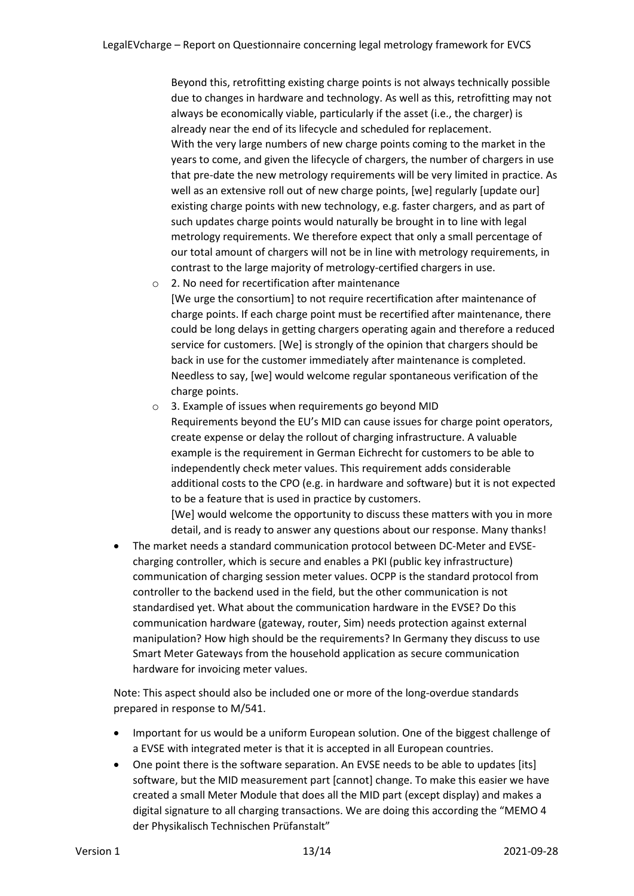Beyond this, retrofitting existing charge points is not always technically possible due to changes in hardware and technology. As well as this, retrofitting may not always be economically viable, particularly if the asset (i.e., the charger) is already near the end of its lifecycle and scheduled for replacement. With the very large numbers of new charge points coming to the market in the years to come, and given the lifecycle of chargers, the number of chargers in use that pre-date the new metrology requirements will be very limited in practice. As well as an extensive roll out of new charge points, [we] regularly [update our] existing charge points with new technology, e.g. faster chargers, and as part of such updates charge points would naturally be brought in to line with legal metrology requirements. We therefore expect that only a small percentage of our total amount of chargers will not be in line with metrology requirements, in contrast to the large majority of metrology-certified chargers in use.

- o 2. No need for recertification after maintenance [We urge the consortium] to not require recertification after maintenance of charge points. If each charge point must be recertified after maintenance, there could be long delays in getting chargers operating again and therefore a reduced service for customers. [We] is strongly of the opinion that chargers should be back in use for the customer immediately after maintenance is completed. Needless to say, [we] would welcome regular spontaneous verification of the charge points.
- o 3. Example of issues when requirements go beyond MID Requirements beyond the EU's MID can cause issues for charge point operators, create expense or delay the rollout of charging infrastructure. A valuable example is the requirement in German Eichrecht for customers to be able to independently check meter values. This requirement adds considerable additional costs to the CPO (e.g. in hardware and software) but it is not expected to be a feature that is used in practice by customers. [We] would welcome the opportunity to discuss these matters with you in more detail, and is ready to answer any questions about our response. Many thanks!
- The market needs a standard communication protocol between DC-Meter and EVSEcharging controller, which is secure and enables a PKI (public key infrastructure) communication of charging session meter values. OCPP is the standard protocol from controller to the backend used in the field, but the other communication is not standardised yet. What about the communication hardware in the EVSE? Do this communication hardware (gateway, router, Sim) needs protection against external manipulation? How high should be the requirements? In Germany they discuss to use Smart Meter Gateways from the household application as secure communication hardware for invoicing meter values.

Note: This aspect should also be included one or more of the long-overdue standards prepared in response to M/541.

- Important for us would be a uniform European solution. One of the biggest challenge of a EVSE with integrated meter is that it is accepted in all European countries.
- One point there is the software separation. An EVSE needs to be able to updates [its] software, but the MID measurement part [cannot] change. To make this easier we have created a small Meter Module that does all the MID part (except display) and makes a digital signature to all charging transactions. We are doing this according the "MEMO 4 der Physikalisch Technischen Prüfanstalt"